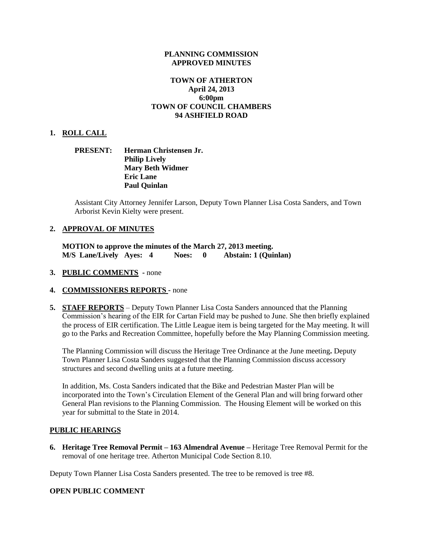### **PLANNING COMMISSION APPROVED MINUTES**

# **TOWN OF ATHERTON April 24, 2013 6:00pm TOWN OF COUNCIL CHAMBERS 94 ASHFIELD ROAD**

## **1. ROLL CALL**

# **PRESENT: Herman Christensen Jr. Philip Lively Mary Beth Widmer Eric Lane Paul Quinlan**

Assistant City Attorney Jennifer Larson, Deputy Town Planner Lisa Costa Sanders, and Town Arborist Kevin Kielty were present.

## **2. APPROVAL OF MINUTES**

**MOTION to approve the minutes of the March 27, 2013 meeting. M/S Lane/Lively Ayes: 4 Noes: 0 Abstain: 1 (Quinlan)**

- **3. PUBLIC COMMENTS -** none
- **4. COMMISSIONERS REPORTS -** none
- **5. STAFF REPORTS** Deputy Town Planner Lisa Costa Sanders announced that the Planning Commission's hearing of the EIR for Cartan Field may be pushed to June. She then briefly explained the process of EIR certification. The Little League item is being targeted for the May meeting. It will go to the Parks and Recreation Committee, hopefully before the May Planning Commission meeting.

The Planning Commission will discuss the Heritage Tree Ordinance at the June meeting**.** Deputy Town Planner Lisa Costa Sanders suggested that the Planning Commission discuss accessory structures and second dwelling units at a future meeting.

In addition, Ms. Costa Sanders indicated that the Bike and Pedestrian Master Plan will be incorporated into the Town's Circulation Element of the General Plan and will bring forward other General Plan revisions to the Planning Commission. The Housing Element will be worked on this year for submittal to the State in 2014.

#### **PUBLIC HEARINGS**

**6. Heritage Tree Removal Permit – 163 Almendral Avenue –** Heritage Tree Removal Permit for the removal of one heritage tree. Atherton Municipal Code Section 8.10.

Deputy Town Planner Lisa Costa Sanders presented. The tree to be removed is tree #8.

#### **OPEN PUBLIC COMMENT**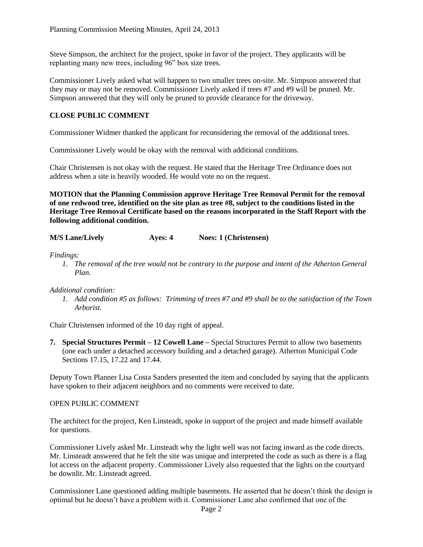Steve Simpson, the architect for the project, spoke in favor of the project. They applicants will be replanting many new trees, including 96" box size trees.

Commissioner Lively asked what will happen to two smaller trees on-site. Mr. Simpson answered that they may or may not be removed. Commissioner Lively asked if trees #7 and #9 will be pruned. Mr. Simpson answered that they will only be pruned to provide clearance for the driveway.

# **CLOSE PUBLIC COMMENT**

Commissioner Widmer thanked the applicant for reconsidering the removal of the additional trees.

Commissioner Lively would be okay with the removal with additional conditions.

Chair Christensen is not okay with the request. He stated that the Heritage Tree Ordinance does not address when a site is heavily wooded. He would vote no on the request.

**MOTION that the Planning Commission approve Heritage Tree Removal Permit for the removal of one redwood tree, identified on the site plan as tree #8, subject to the conditions listed in the Heritage Tree Removal Certificate based on the reasons incorporated in the Staff Report with the following additional condition.**

**M/S Lane/Lively Ayes: 4 Noes: 1 (Christensen)**

*Findings:*

*1. The removal of the tree would not be contrary to the purpose and intent of the Atherton General Plan.*

#### *Additional condition:*

*1. Add condition #5 as follows: Trimming of trees #7 and #9 shall be to the satisfaction of the Town Arborist.*

Chair Christensen informed of the 10 day right of appeal.

**7. Special Structures Permit – 12 Cowell Lane –** Special Structures Permit to allow two basements (one each under a detached accessory building and a detached garage). Atherton Municipal Code Sections 17.15, 17.22 and 17.44.

Deputy Town Planner Lisa Costa Sanders presented the item and concluded by saying that the applicants have spoken to their adjacent neighbors and no comments were received to date.

# OPEN PUBLIC COMMENT

The architect for the project, Ken Linsteadt, spoke in support of the project and made himself available for questions.

Commissioner Lively asked Mr. Linsteadt why the light well was not facing inward as the code directs. Mr. Linsteadt answered that he felt the site was unique and interpreted the code as such as there is a flag lot access on the adjacent property. Commissioner Lively also requested that the lights on the courtyard be downlit. Mr. Linsteadt agreed.

Commissioner Lane questioned adding multiple basements. He asserted that he doesn't think the design is optimal but he doesn't have a problem with it. Commissioner Lane also confirmed that one of the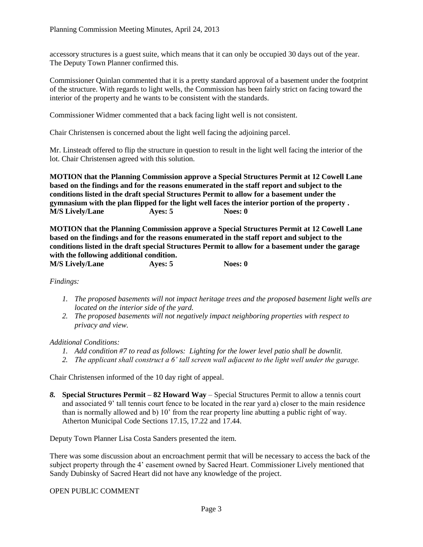accessory structures is a guest suite, which means that it can only be occupied 30 days out of the year. The Deputy Town Planner confirmed this.

Commissioner Quinlan commented that it is a pretty standard approval of a basement under the footprint of the structure. With regards to light wells, the Commission has been fairly strict on facing toward the interior of the property and he wants to be consistent with the standards.

Commissioner Widmer commented that a back facing light well is not consistent.

Chair Christensen is concerned about the light well facing the adjoining parcel.

Mr. Linsteadt offered to flip the structure in question to result in the light well facing the interior of the lot. Chair Christensen agreed with this solution.

**MOTION that the Planning Commission approve a Special Structures Permit at 12 Cowell Lane based on the findings and for the reasons enumerated in the staff report and subject to the conditions listed in the draft special Structures Permit to allow for a basement under the gymnasium with the plan flipped for the light well faces the interior portion of the property . M/S Lively/Lane Ayes: 5 Noes: 0** 

**MOTION that the Planning Commission approve a Special Structures Permit at 12 Cowell Lane based on the findings and for the reasons enumerated in the staff report and subject to the conditions listed in the draft special Structures Permit to allow for a basement under the garage with the following additional condition. M/S Lively/Lane Ayes: 5 Noes: 0** 

# *Findings:*

- *1. The proposed basements will not impact heritage trees and the proposed basement light wells are located on the interior side of the yard.*
- *2. The proposed basements will not negatively impact neighboring properties with respect to privacy and view.*

#### *Additional Conditions:*

- *1. Add condition #7 to read as follows: Lighting for the lower level patio shall be downlit.*
- *2. The applicant shall construct a 6' tall screen wall adjacent to the light well under the garage.*

Chair Christensen informed of the 10 day right of appeal.

*8.* **Special Structures Permit – 82 Howard Way** – Special Structures Permit to allow a tennis court and associated 9' tall tennis court fence to be located in the rear yard a) closer to the main residence than is normally allowed and b) 10' from the rear property line abutting a public right of way. Atherton Municipal Code Sections 17.15, 17.22 and 17.44.

Deputy Town Planner Lisa Costa Sanders presented the item.

There was some discussion about an encroachment permit that will be necessary to access the back of the subject property through the 4' easement owned by Sacred Heart. Commissioner Lively mentioned that Sandy Dubinsky of Sacred Heart did not have any knowledge of the project.

## OPEN PUBLIC COMMENT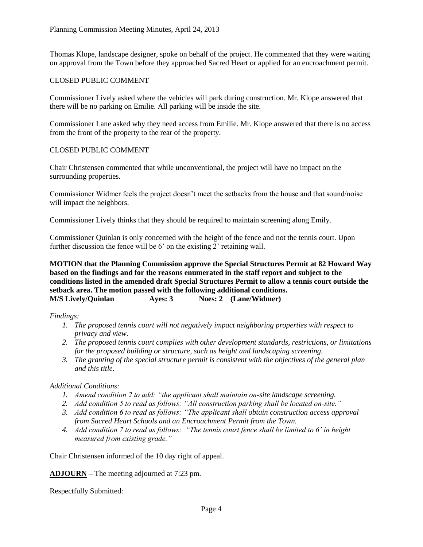Thomas Klope, landscape designer, spoke on behalf of the project. He commented that they were waiting on approval from the Town before they approached Sacred Heart or applied for an encroachment permit.

# CLOSED PUBLIC COMMENT

Commissioner Lively asked where the vehicles will park during construction. Mr. Klope answered that there will be no parking on Emilie. All parking will be inside the site.

Commissioner Lane asked why they need access from Emilie. Mr. Klope answered that there is no access from the front of the property to the rear of the property.

# CLOSED PUBLIC COMMENT

Chair Christensen commented that while unconventional, the project will have no impact on the surrounding properties.

Commissioner Widmer feels the project doesn't meet the setbacks from the house and that sound/noise will impact the neighbors.

Commissioner Lively thinks that they should be required to maintain screening along Emily.

Commissioner Quinlan is only concerned with the height of the fence and not the tennis court. Upon further discussion the fence will be 6' on the existing 2' retaining wall.

**MOTION that the Planning Commission approve the Special Structures Permit at 82 Howard Way based on the findings and for the reasons enumerated in the staff report and subject to the conditions listed in the amended draft Special Structures Permit to allow a tennis court outside the setback area. The motion passed with the following additional conditions. M/S Lively/Quinlan Ayes: 3 Noes: 2 (Lane/Widmer)**

*Findings:*

- *1. The proposed tennis court will not negatively impact neighboring properties with respect to privacy and view.*
- *2. The proposed tennis court complies with other development standards, restrictions, or limitations for the proposed building or structure, such as height and landscaping screening.*
- *3. The granting of the special structure permit is consistent with the objectives of the general plan and this title.*

# *Additional Conditions:*

- *1. Amend condition 2 to add: "the applicant shall maintain on-site landscape screening.*
- *2. Add condition 5 to read as follows: "All construction parking shall be located on-site."*
- *3. Add condition 6 to read as follows: "The applicant shall obtain construction access approval from Sacred Heart Schools and an Encroachment Permit from the Town.*
- *4. Add condition 7 to read as follows: "The tennis court fence shall be limited to 6' in height measured from existing grade."*

Chair Christensen informed of the 10 day right of appeal.

**ADJOURN –** The meeting adjourned at 7:23 pm.

Respectfully Submitted: